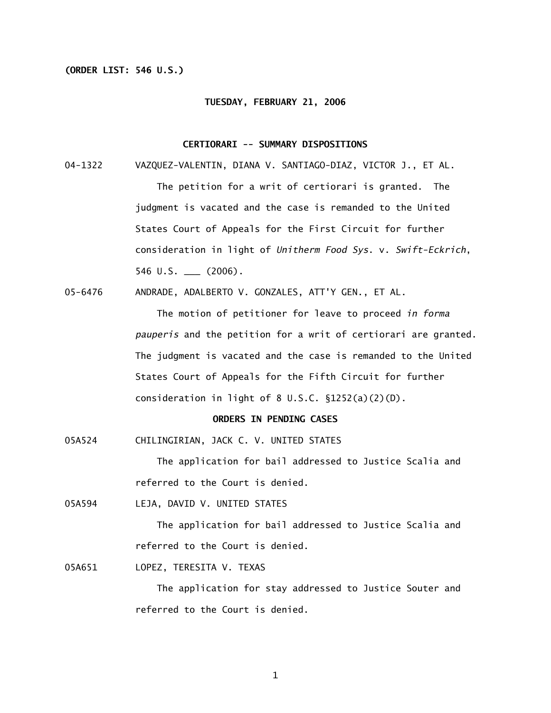### **(ORDER LIST: 546 U.S.)**

### **TUESDAY, FEBRUARY 21, 2006**

### **CERTIORARI -- SUMMARY DISPOSITIONS**

04-1322 VAZQUEZ-VALENTIN, DIANA V. SANTIAGO-DIAZ, VICTOR J., ET AL.

 The petition for a writ of certiorari is granted. The judgment is vacated and the case is remanded to the United States Court of Appeals for the First Circuit for further consideration in light of *Unitherm Food Sys*. v. *Swift-Eckrich*,  $546 \text{ U.S. }$  (2006).

05-6476 ANDRADE, ADALBERTO V. GONZALES, ATT'Y GEN., ET AL.

 The motion of petitioner for leave to proceed *in forma pauperis* and the petition for a writ of certiorari are granted. The judgment is vacated and the case is remanded to the United States Court of Appeals for the Fifth Circuit for further consideration in light of 8 U.S.C. §1252(a)(2)(D).

### **ORDERS IN PENDING CASES**

05A524 CHILINGIRIAN, JACK C. V. UNITED STATES

 The application for bail addressed to Justice Scalia and referred to the Court is denied.

05A594 LEJA, DAVID V. UNITED STATES

 The application for bail addressed to Justice Scalia and referred to the Court is denied.

05A651 LOPEZ, TERESITA V. TEXAS

 The application for stay addressed to Justice Souter and referred to the Court is denied.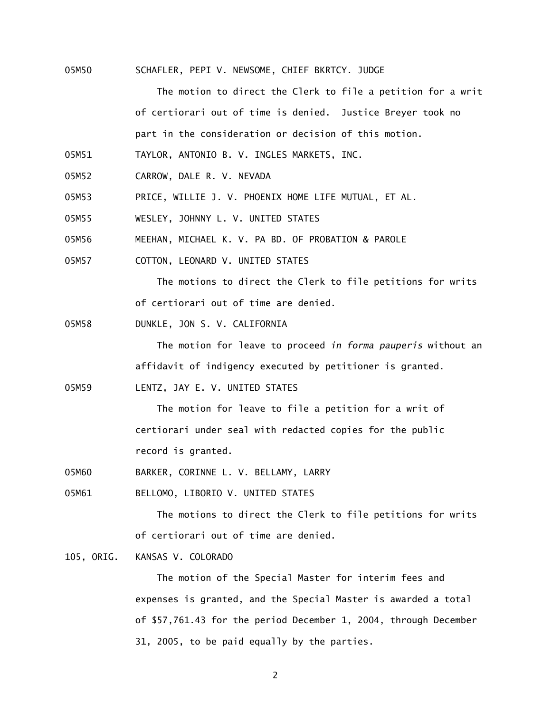05M50 SCHAFLER, PEPI V. NEWSOME, CHIEF BKRTCY. JUDGE

The motion to direct the Clerk to file a petition for a writ of certiorari out of time is denied. Justice Breyer took no part in the consideration or decision of this motion.

05M51 TAYLOR, ANTONIO B. V. INGLES MARKETS, INC.

- 05M52 CARROW, DALE R. V. NEVADA
- 05M53 PRICE, WILLIE J. V. PHOENIX HOME LIFE MUTUAL, ET AL.
- 05M55 WESLEY, JOHNNY L. V. UNITED STATES
- 05M56 MEEHAN, MICHAEL K. V. PA BD. OF PROBATION & PAROLE
- 05M57 COTTON, LEONARD V. UNITED STATES

 The motions to direct the Clerk to file petitions for writs of certiorari out of time are denied.

05M58 DUNKLE, JON S. V. CALIFORNIA

 The motion for leave to proceed *in forma pauperis* without an affidavit of indigency executed by petitioner is granted.

05M59 LENTZ, JAY E. V. UNITED STATES

The motion for leave to file a petition for a writ of certiorari under seal with redacted copies for the public record is granted.

05M60 BARKER, CORINNE L. V. BELLAMY, LARRY

05M61 BELLOMO, LIBORIO V. UNITED STATES

 The motions to direct the Clerk to file petitions for writs of certiorari out of time are denied.

105, ORIG. KANSAS V. COLORADO

 The motion of the Special Master for interim fees and expenses is granted, and the Special Master is awarded a total of \$57,761.43 for the period December 1, 2004, through December 31, 2005, to be paid equally by the parties.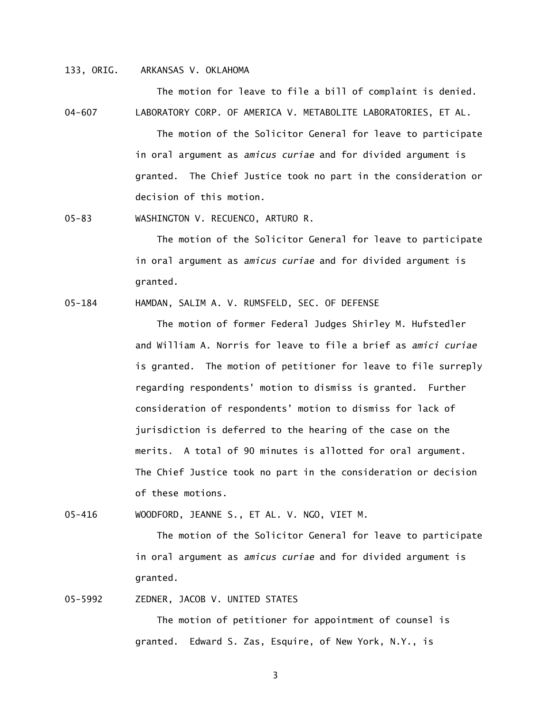### 133, ORIG. ARKANSAS V. OKLAHOMA

04-607 LABORATORY CORP. OF AMERICA V. METABOLITE LABORATORIES, ET AL. The motion of the Solicitor General for leave to participate in oral argument as *amicus curiae* and for divided argument is granted. The Chief Justice took no part in the consideration or decision of this motion.

05-83 WASHINGTON V. RECUENCO, ARTURO R.

The motion of the Solicitor General for leave to participate in oral argument as *amicus curiae* and for divided argument is granted.

The motion for leave to file a bill of complaint is denied.

05-184 HAMDAN, SALIM A. V. RUMSFELD, SEC. OF DEFENSE

The motion of former Federal Judges Shirley M. Hufstedler and William A. Norris for leave to file a brief as *amici curiae*  is granted. The motion of petitioner for leave to file surreply regarding respondents' motion to dismiss is granted. Further consideration of respondents' motion to dismiss for lack of jurisdiction is deferred to the hearing of the case on the merits. A total of 90 minutes is allotted for oral argument. The Chief Justice took no part in the consideration or decision of these motions.

05-416 WOODFORD, JEANNE S., ET AL. V. NGO, VIET M.

The motion of the Solicitor General for leave to participate in oral argument as *amicus curiae* and for divided argument is granted.

05-5992 ZEDNER, JACOB V. UNITED STATES

 The motion of petitioner for appointment of counsel is granted. Edward S. Zas, Esquire, of New York, N.Y., is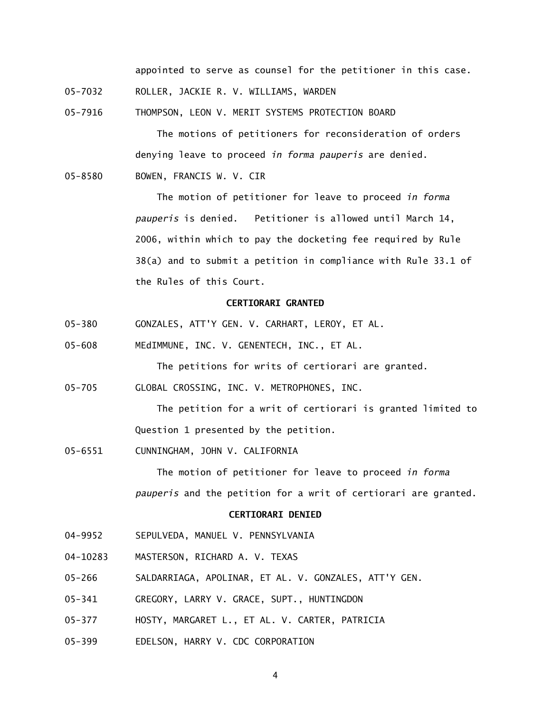appointed to serve as counsel for the petitioner in this case.

- 05-7032 ROLLER, JACKIE R. V. WILLIAMS, WARDEN
- 05-7916 THOMPSON, LEON V. MERIT SYSTEMS PROTECTION BOARD

 The motions of petitioners for reconsideration of orders denying leave to proceed *in forma pauperis* are denied.

05-8580 BOWEN, FRANCIS W. V. CIR

 The motion of petitioner for leave to proceed *in forma pauperis* is denied. Petitioner is allowed until March 14, 2006, within which to pay the docketing fee required by Rule 38(a) and to submit a petition in compliance with Rule 33.1 of the Rules of this Court.

### **CERTIORARI GRANTED**

- 05-380 GONZALES, ATT'Y GEN. V. CARHART, LEROY, ET AL.
- 05-608 MEdIMMUNE, INC. V. GENENTECH, INC., ET AL.

The petitions for writs of certiorari are granted.

05-705 GLOBAL CROSSING, INC. V. METROPHONES, INC.

 The petition for a writ of certiorari is granted limited to Question 1 presented by the petition.

05-6551 CUNNINGHAM, JOHN V. CALIFORNIA

 The motion of petitioner for leave to proceed *in forma pauperis* and the petition for a writ of certiorari are granted.

### **CERTIORARI DENIED**

- 04-9952 SEPULVEDA, MANUEL V. PENNSYLVANIA
- 04-10283 MASTERSON, RICHARD A. V. TEXAS
- 05-266 SALDARRIAGA, APOLINAR, ET AL. V. GONZALES, ATT'Y GEN.
- 05-341 GREGORY, LARRY V. GRACE, SUPT., HUNTINGDON
- 05-377 HOSTY, MARGARET L., ET AL. V. CARTER, PATRICIA
- 05-399 EDELSON, HARRY V. CDC CORPORATION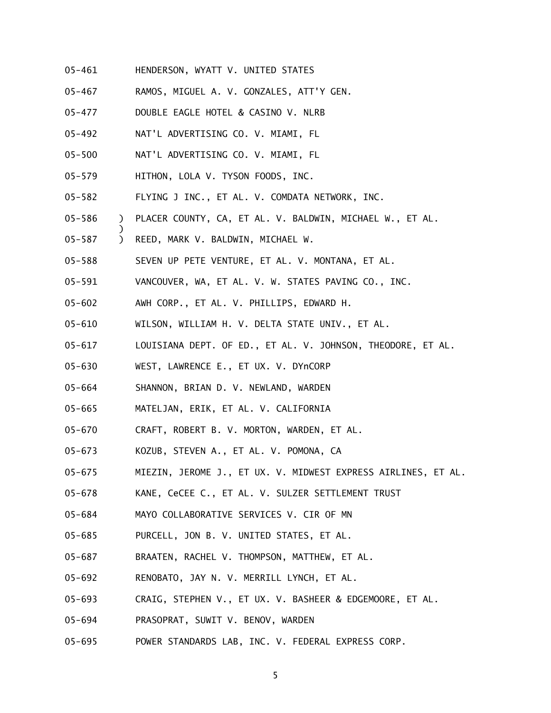- 05-461 HENDERSON, WYATT V. UNITED STATES
- 05-467 RAMOS, MIGUEL A. V. GONZALES, ATT'Y GEN.
- 05-477 DOUBLE EAGLE HOTEL & CASINO V. NLRB
- 05-492 NAT'L ADVERTISING CO. V. MIAMI, FL
- 05-500 NAT'L ADVERTISING CO. V. MIAMI, FL
- 05-579 HITHON, LOLA V. TYSON FOODS, INC.
- 05-582 FLYING J INC., ET AL. V. COMDATA NETWORK, INC.
- 05-586 ) PLACER COUNTY, CA, ET AL. V. BALDWIN, MICHAEL W., ET AL.
- 05-587 ) REED, MARK V. BALDWIN, MICHAEL W.

- 05-588 SEVEN UP PETE VENTURE, ET AL. V. MONTANA, ET AL.
- 05-591 VANCOUVER, WA, ET AL. V. W. STATES PAVING CO., INC.
- 05-602 AWH CORP., ET AL. V. PHILLIPS, EDWARD H.
- 05-610 WILSON, WILLIAM H. V. DELTA STATE UNIV., ET AL.
- 05-617 LOUISIANA DEPT. OF ED., ET AL. V. JOHNSON, THEODORE, ET AL.
- 05-630 WEST, LAWRENCE E., ET UX. V. DYnCORP
- 05-664 SHANNON, BRIAN D. V. NEWLAND, WARDEN
- 05-665 MATELJAN, ERIK, ET AL. V. CALIFORNIA
- 05-670 CRAFT, ROBERT B. V. MORTON, WARDEN, ET AL.
- 05-673 KOZUB, STEVEN A., ET AL. V. POMONA, CA
- 05-675 MIEZIN, JEROME J., ET UX. V. MIDWEST EXPRESS AIRLINES, ET AL.
- 05-678 KANE, CeCEE C., ET AL. V. SULZER SETTLEMENT TRUST
- 05-684 MAYO COLLABORATIVE SERVICES V. CIR OF MN
- 05-685 PURCELL, JON B. V. UNITED STATES, ET AL.
- 05-687 BRAATEN, RACHEL V. THOMPSON, MATTHEW, ET AL.
- 05-692 RENOBATO, JAY N. V. MERRILL LYNCH, ET AL.
- 05-693 CRAIG, STEPHEN V., ET UX. V. BASHEER & EDGEMOORE, ET AL.
- 05-694 PRASOPRAT, SUWIT V. BENOV, WARDEN
- 05-695 POWER STANDARDS LAB, INC. V. FEDERAL EXPRESS CORP.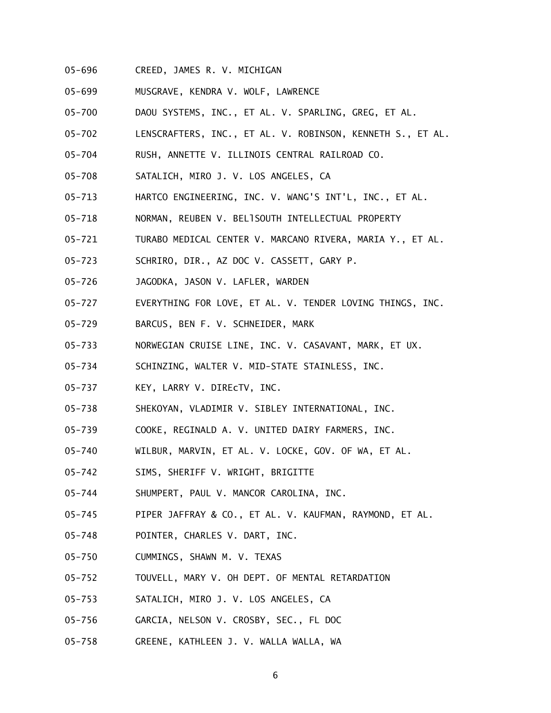- 05-696 CREED, JAMES R. V. MICHIGAN
- 05-699 MUSGRAVE, KENDRA V. WOLF, LAWRENCE
- 05-700 DAOU SYSTEMS, INC., ET AL. V. SPARLING, GREG, ET AL.
- 05-702 LENSCRAFTERS, INC., ET AL. V. ROBINSON, KENNETH S., ET AL.
- 05-704 RUSH, ANNETTE V. ILLINOIS CENTRAL RAILROAD CO.
- 05-708 SATALICH, MIRO J. V. LOS ANGELES, CA
- 05-713 HARTCO ENGINEERING, INC. V. WANG'S INT'L, INC., ET AL.
- 05-718 NORMAN, REUBEN V. BELlSOUTH INTELLECTUAL PROPERTY
- 05-721 TURABO MEDICAL CENTER V. MARCANO RIVERA, MARIA Y., ET AL.
- 05-723 SCHRIRO, DIR., AZ DOC V. CASSETT, GARY P.
- 05-726 JAGODKA, JASON V. LAFLER, WARDEN
- 05-727 EVERYTHING FOR LOVE, ET AL. V. TENDER LOVING THINGS, INC.
- 05-729 BARCUS, BEN F. V. SCHNEIDER, MARK
- 05-733 NORWEGIAN CRUISE LINE, INC. V. CASAVANT, MARK, ET UX.
- 05-734 SCHINZING, WALTER V. MID-STATE STAINLESS, INC.
- 05-737 KEY, LARRY V. DIREcTV, INC.
- 05-738 SHEKOYAN, VLADIMIR V. SIBLEY INTERNATIONAL, INC.
- 05-739 COOKE, REGINALD A. V. UNITED DAIRY FARMERS, INC.
- 05-740 WILBUR, MARVIN, ET AL. V. LOCKE, GOV. OF WA, ET AL.
- 05-742 SIMS, SHERIFF V. WRIGHT, BRIGITTE
- 05-744 SHUMPERT, PAUL V. MANCOR CAROLINA, INC.
- 05-745 PIPER JAFFRAY & CO., ET AL. V. KAUFMAN, RAYMOND, ET AL.
- 05-748 POINTER, CHARLES V. DART, INC.
- 05-750 CUMMINGS, SHAWN M. V. TEXAS
- 05-752 TOUVELL, MARY V. OH DEPT. OF MENTAL RETARDATION
- 05-753 SATALICH, MIRO J. V. LOS ANGELES, CA
- 05-756 GARCIA, NELSON V. CROSBY, SEC., FL DOC
- 05-758 GREENE, KATHLEEN J. V. WALLA WALLA, WA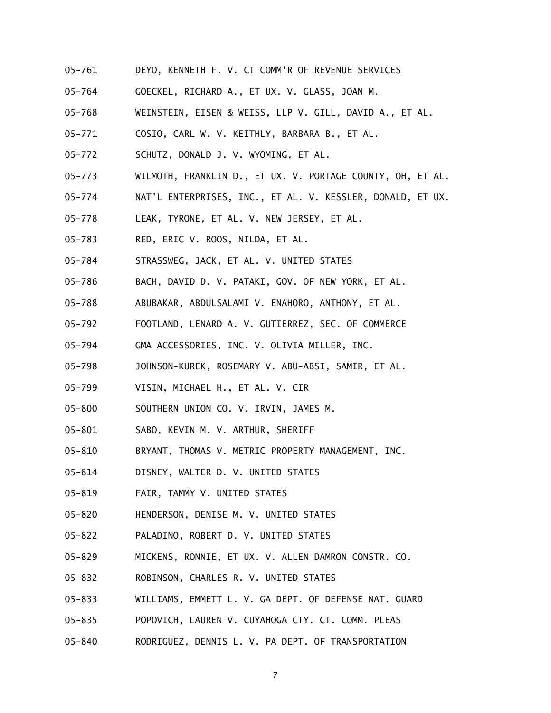- 05-761 DEYO, KENNETH F. V. CT COMM'R OF REVENUE SERVICES
- 05-764 GOECKEL, RICHARD A., ET UX. V. GLASS, JOAN M.
- 05-768 WEINSTEIN, EISEN & WEISS, LLP V. GILL, DAVID A., ET AL.
- 05-771 COSIO, CARL W. V. KEITHLY, BARBARA B., ET AL.
- 05-772 SCHUTZ, DONALD J. V. WYOMING, ET AL.
- 05-773 WILMOTH, FRANKLIN D., ET UX. V. PORTAGE COUNTY, OH, ET AL.
- 05-774 NAT'L ENTERPRISES, INC., ET AL. V. KESSLER, DONALD, ET UX.
- 05-778 LEAK, TYRONE, ET AL. V. NEW JERSEY, ET AL.
- 05-783 RED, ERIC V. ROOS, NILDA, ET AL.
- 05-784 STRASSWEG, JACK, ET AL. V. UNITED STATES
- 05-786 BACH, DAVID D. V. PATAKI, GOV. OF NEW YORK, ET AL.
- 05-788 ABUBAKAR, ABDULSALAMI V. ENAHORO, ANTHONY, ET AL.
- 05-792 FOOTLAND, LENARD A. V. GUTIERREZ, SEC. OF COMMERCE
- 05-794 GMA ACCESSORIES, INC. V. OLIVIA MILLER, INC.
- 05-798 JOHNSON-KUREK, ROSEMARY V. ABU-ABSI, SAMIR, ET AL.
- 05-799 VISIN, MICHAEL H., ET AL. V. CIR
- 05-800 SOUTHERN UNION CO. V. IRVIN, JAMES M.
- 05-801 SABO, KEVIN M. V. ARTHUR, SHERIFF
- 05-810 BRYANT, THOMAS V. METRIC PROPERTY MANAGEMENT, INC.
- 05-814 DISNEY, WALTER D. V. UNITED STATES
- 05-819 FAIR, TAMMY V. UNITED STATES
- 05-820 HENDERSON, DENISE M. V. UNITED STATES
- 05-822 PALADINO, ROBERT D. V. UNITED STATES
- 05-829 MICKENS, RONNIE, ET UX. V. ALLEN DAMRON CONSTR. CO.
- 05-832 ROBINSON, CHARLES R. V. UNITED STATES
- 05-833 WILLIAMS, EMMETT L. V. GA DEPT. OF DEFENSE NAT. GUARD
- 05-835 POPOVICH, LAUREN V. CUYAHOGA CTY. CT. COMM. PLEAS
- 05-840 RODRIGUEZ, DENNIS L. V. PA DEPT. OF TRANSPORTATION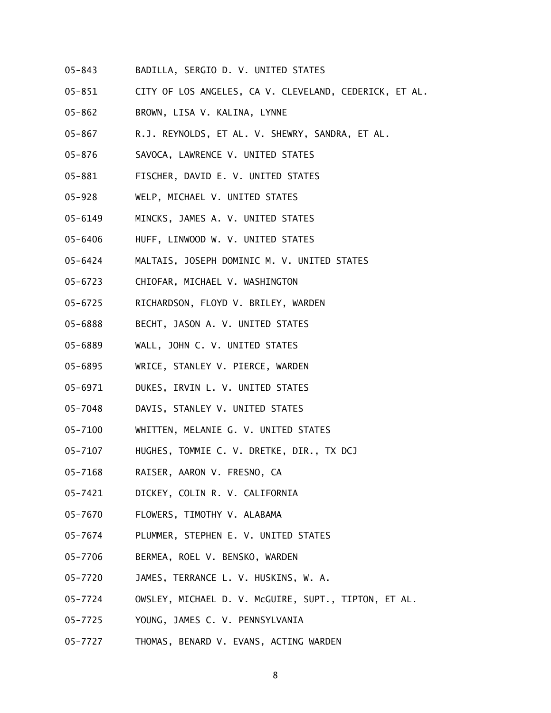- 05-843 BADILLA, SERGIO D. V. UNITED STATES
- 05-851 CITY OF LOS ANGELES, CA V. CLEVELAND, CEDERICK, ET AL.
- 05-862 BROWN, LISA V. KALINA, LYNNE
- 05-867 R.J. REYNOLDS, ET AL. V. SHEWRY, SANDRA, ET AL.
- 05-876 SAVOCA, LAWRENCE V. UNITED STATES
- 05-881 FISCHER, DAVID E. V. UNITED STATES
- 05-928 WELP, MICHAEL V. UNITED STATES
- 05-6149 MINCKS, JAMES A. V. UNITED STATES
- 05-6406 HUFF, LINWOOD W. V. UNITED STATES
- 05-6424 MALTAIS, JOSEPH DOMINIC M. V. UNITED STATES
- 05-6723 CHIOFAR, MICHAEL V. WASHINGTON
- 05-6725 RICHARDSON, FLOYD V. BRILEY, WARDEN
- 05-6888 BECHT, JASON A. V. UNITED STATES
- 05-6889 WALL, JOHN C. V. UNITED STATES
- 05-6895 WRICE, STANLEY V. PIERCE, WARDEN
- 05-6971 DUKES, IRVIN L. V. UNITED STATES
- 05-7048 DAVIS, STANLEY V. UNITED STATES
- 05-7100 WHITTEN, MELANIE G. V. UNITED STATES
- 05-7107 HUGHES, TOMMIE C. V. DRETKE, DIR., TX DCJ
- 05-7168 RAISER, AARON V. FRESNO, CA
- 05-7421 DICKEY, COLIN R. V. CALIFORNIA
- 05-7670 FLOWERS, TIMOTHY V. ALABAMA
- 05-7674 PLUMMER, STEPHEN E. V. UNITED STATES
- 05-7706 BERMEA, ROEL V. BENSKO, WARDEN
- 05-7720 JAMES, TERRANCE L. V. HUSKINS, W. A.
- 05-7724 OWSLEY, MICHAEL D. V. McGUIRE, SUPT., TIPTON, ET AL.
- 05-7725 YOUNG, JAMES C. V. PENNSYLVANIA
- 05-7727 THOMAS, BENARD V. EVANS, ACTING WARDEN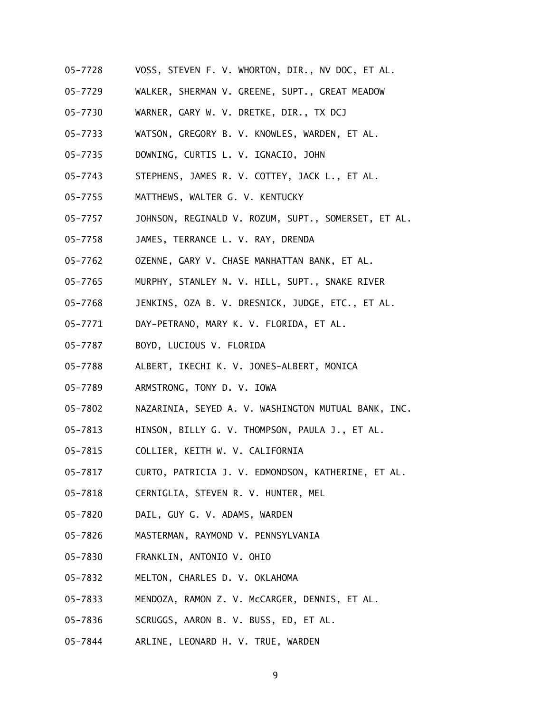- 05-7728 VOSS, STEVEN F. V. WHORTON, DIR., NV DOC, ET AL.
- 05-7729 WALKER, SHERMAN V. GREENE, SUPT., GREAT MEADOW
- 05-7730 WARNER, GARY W. V. DRETKE, DIR., TX DCJ
- 05-7733 WATSON, GREGORY B. V. KNOWLES, WARDEN, ET AL.
- 05-7735 DOWNING, CURTIS L. V. IGNACIO, JOHN
- 05-7743 STEPHENS, JAMES R. V. COTTEY, JACK L., ET AL.
- 05-7755 MATTHEWS, WALTER G. V. KENTUCKY
- 05-7757 JOHNSON, REGINALD V. ROZUM, SUPT., SOMERSET, ET AL.
- 05-7758 JAMES, TERRANCE L. V. RAY, DRENDA
- 05-7762 OZENNE, GARY V. CHASE MANHATTAN BANK, ET AL.
- 05-7765 MURPHY, STANLEY N. V. HILL, SUPT., SNAKE RIVER
- 05-7768 JENKINS, OZA B. V. DRESNICK, JUDGE, ETC., ET AL.
- 05-7771 DAY-PETRANO, MARY K. V. FLORIDA, ET AL.
- 05-7787 BOYD, LUCIOUS V. FLORIDA
- 05-7788 ALBERT, IKECHI K. V. JONES-ALBERT, MONICA
- 05-7789 ARMSTRONG, TONY D. V. IOWA
- 05-7802 NAZARINIA, SEYED A. V. WASHINGTON MUTUAL BANK, INC.
- 05-7813 HINSON, BILLY G. V. THOMPSON, PAULA J., ET AL.
- 05-7815 COLLIER, KEITH W. V. CALIFORNIA
- 05-7817 CURTO, PATRICIA J. V. EDMONDSON, KATHERINE, ET AL.
- 05-7818 CERNIGLIA, STEVEN R. V. HUNTER, MEL
- 05-7820 DAIL, GUY G. V. ADAMS, WARDEN
- 05-7826 MASTERMAN, RAYMOND V. PENNSYLVANIA
- 05-7830 FRANKLIN, ANTONIO V. OHIO
- 05-7832 MELTON, CHARLES D. V. OKLAHOMA
- 05-7833 MENDOZA, RAMON Z. V. McCARGER, DENNIS, ET AL.
- 05-7836 SCRUGGS, AARON B. V. BUSS, ED, ET AL.
- 05-7844 ARLINE, LEONARD H. V. TRUE, WARDEN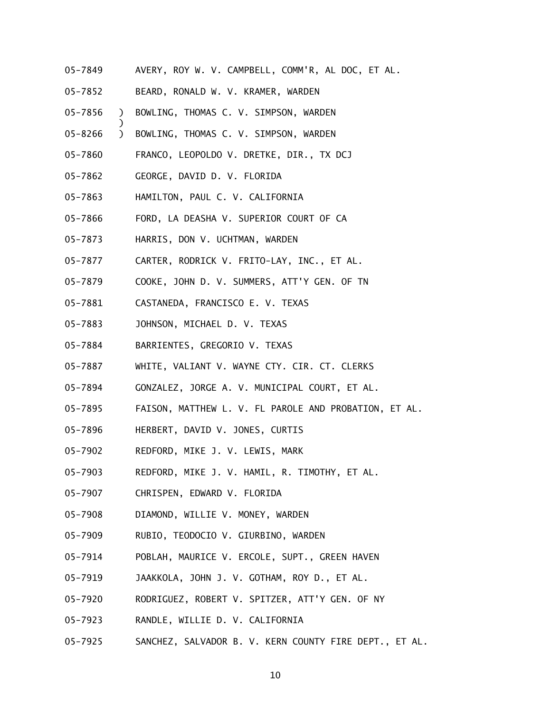- 05-7849 AVERY, ROY W. V. CAMPBELL, COMM'R, AL DOC, ET AL.
- 05-7852 BEARD, RONALD W. V. KRAMER, WARDEN
- 05-7856 ) BOWLING, THOMAS C. V. SIMPSON, WARDEN
- 05-8266 ) BOWLING, THOMAS C. V. SIMPSON, WARDEN
- 05-7860 FRANCO, LEOPOLDO V. DRETKE, DIR., TX DCJ
- 05-7862 GEORGE, DAVID D. V. FLORIDA

- 05-7863 HAMILTON, PAUL C. V. CALIFORNIA
- 05-7866 FORD, LA DEASHA V. SUPERIOR COURT OF CA
- 05-7873 HARRIS, DON V. UCHTMAN, WARDEN
- 05-7877 CARTER, RODRICK V. FRITO-LAY, INC., ET AL.
- 05-7879 COOKE, JOHN D. V. SUMMERS, ATT'Y GEN. OF TN
- 05-7881 CASTANEDA, FRANCISCO E. V. TEXAS
- 05-7883 JOHNSON, MICHAEL D. V. TEXAS
- 05-7884 BARRIENTES, GREGORIO V. TEXAS
- 05-7887 WHITE, VALIANT V. WAYNE CTY. CIR. CT. CLERKS
- 05-7894 GONZALEZ, JORGE A. V. MUNICIPAL COURT, ET AL.
- 05-7895 FAISON, MATTHEW L. V. FL PAROLE AND PROBATION, ET AL.
- 05-7896 HERBERT, DAVID V. JONES, CURTIS
- 05-7902 REDFORD, MIKE J. V. LEWIS, MARK
- 05-7903 REDFORD, MIKE J. V. HAMIL, R. TIMOTHY, ET AL.
- 05-7907 CHRISPEN, EDWARD V. FLORIDA
- 05-7908 DIAMOND, WILLIE V. MONEY, WARDEN
- 05-7909 RUBIO, TEODOCIO V. GIURBINO, WARDEN
- 05-7914 POBLAH, MAURICE V. ERCOLE, SUPT., GREEN HAVEN
- 05-7919 JAAKKOLA, JOHN J. V. GOTHAM, ROY D., ET AL.
- 05-7920 RODRIGUEZ, ROBERT V. SPITZER, ATT'Y GEN. OF NY
- 05-7923 RANDLE, WILLIE D. V. CALIFORNIA
- 05-7925 SANCHEZ, SALVADOR B. V. KERN COUNTY FIRE DEPT., ET AL.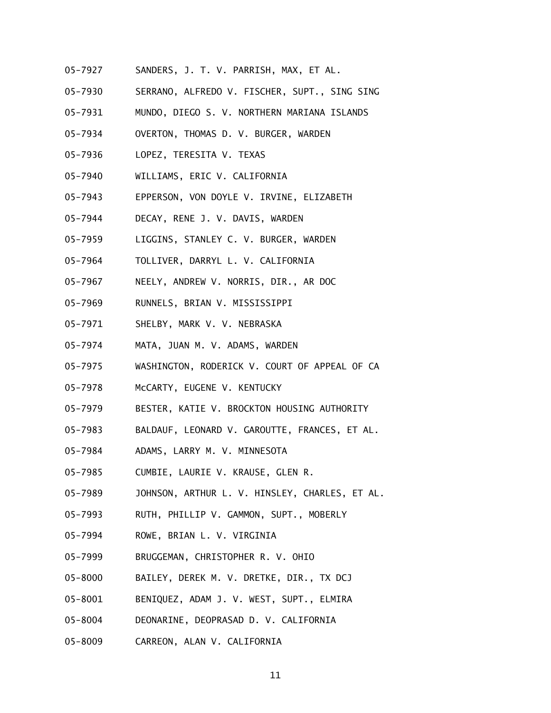- 05-7927 SANDERS, J. T. V. PARRISH, MAX, ET AL.
- 05-7930 SERRANO, ALFREDO V. FISCHER, SUPT., SING SING
- 05-7931 MUNDO, DIEGO S. V. NORTHERN MARIANA ISLANDS
- 05-7934 OVERTON, THOMAS D. V. BURGER, WARDEN
- 05-7936 LOPEZ, TERESITA V. TEXAS
- 05-7940 WILLIAMS, ERIC V. CALIFORNIA
- 05-7943 EPPERSON, VON DOYLE V. IRVINE, ELIZABETH
- 05-7944 DECAY, RENE J. V. DAVIS, WARDEN
- 05-7959 LIGGINS, STANLEY C. V. BURGER, WARDEN
- 05-7964 TOLLIVER, DARRYL L. V. CALIFORNIA
- 05-7967 NEELY, ANDREW V. NORRIS, DIR., AR DOC
- 05-7969 RUNNELS, BRIAN V. MISSISSIPPI
- 05-7971 SHELBY, MARK V. V. NEBRASKA
- 05-7974 MATA, JUAN M. V. ADAMS, WARDEN
- 05-7975 WASHINGTON, RODERICK V. COURT OF APPEAL OF CA
- 05-7978 McCARTY, EUGENE V. KENTUCKY
- 05-7979 BESTER, KATIE V. BROCKTON HOUSING AUTHORITY
- 05-7983 BALDAUF, LEONARD V. GAROUTTE, FRANCES, ET AL.
- 05-7984 ADAMS, LARRY M. V. MINNESOTA
- 05-7985 CUMBIE, LAURIE V. KRAUSE, GLEN R.
- 05-7989 JOHNSON, ARTHUR L. V. HINSLEY, CHARLES, ET AL.
- 05-7993 RUTH, PHILLIP V. GAMMON, SUPT., MOBERLY
- 05-7994 ROWE, BRIAN L. V. VIRGINIA
- 05-7999 BRUGGEMAN, CHRISTOPHER R. V. OHIO
- 05-8000 BAILEY, DEREK M. V. DRETKE, DIR., TX DCJ
- 05-8001 BENIQUEZ, ADAM J. V. WEST, SUPT., ELMIRA
- 05-8004 DEONARINE, DEOPRASAD D. V. CALIFORNIA
- 05-8009 CARREON, ALAN V. CALIFORNIA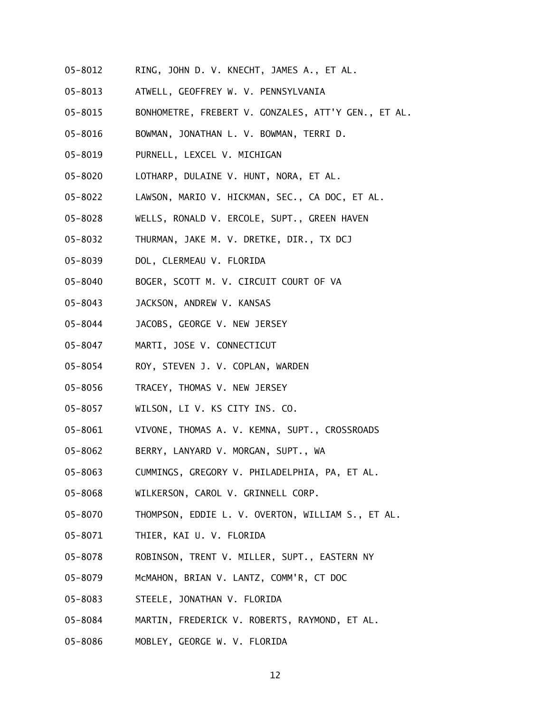- 05-8012 RING, JOHN D. V. KNECHT, JAMES A., ET AL.
- 05-8013 ATWELL, GEOFFREY W. V. PENNSYLVANIA
- 05-8015 BONHOMETRE, FREBERT V. GONZALES, ATT'Y GEN., ET AL.
- 05-8016 BOWMAN, JONATHAN L. V. BOWMAN, TERRI D.
- 05-8019 PURNELL, LEXCEL V. MICHIGAN
- 05-8020 LOTHARP, DULAINE V. HUNT, NORA, ET AL.
- 05-8022 LAWSON, MARIO V. HICKMAN, SEC., CA DOC, ET AL.
- 05-8028 WELLS, RONALD V. ERCOLE, SUPT., GREEN HAVEN
- 05-8032 THURMAN, JAKE M. V. DRETKE, DIR., TX DCJ
- 05-8039 DOL, CLERMEAU V. FLORIDA
- 05-8040 BOGER, SCOTT M. V. CIRCUIT COURT OF VA
- 05-8043 JACKSON, ANDREW V. KANSAS
- 05-8044 JACOBS, GEORGE V. NEW JERSEY
- 05-8047 MARTI, JOSE V. CONNECTICUT
- 05-8054 ROY, STEVEN J. V. COPLAN, WARDEN
- 05-8056 TRACEY, THOMAS V. NEW JERSEY
- 05-8057 WILSON, LI V. KS CITY INS. CO.
- 05-8061 VIVONE, THOMAS A. V. KEMNA, SUPT., CROSSROADS
- 05-8062 BERRY, LANYARD V. MORGAN, SUPT., WA
- 05-8063 CUMMINGS, GREGORY V. PHILADELPHIA, PA, ET AL.
- 05-8068 WILKERSON, CAROL V. GRINNELL CORP.
- 05-8070 THOMPSON, EDDIE L. V. OVERTON, WILLIAM S., ET AL.
- 05-8071 THIER, KAI U. V. FLORIDA
- 05-8078 ROBINSON, TRENT V. MILLER, SUPT., EASTERN NY
- 05-8079 McMAHON, BRIAN V. LANTZ, COMM'R, CT DOC
- 05-8083 STEELE, JONATHAN V. FLORIDA
- 05-8084 MARTIN, FREDERICK V. ROBERTS, RAYMOND, ET AL.
- 05-8086 MOBLEY, GEORGE W. V. FLORIDA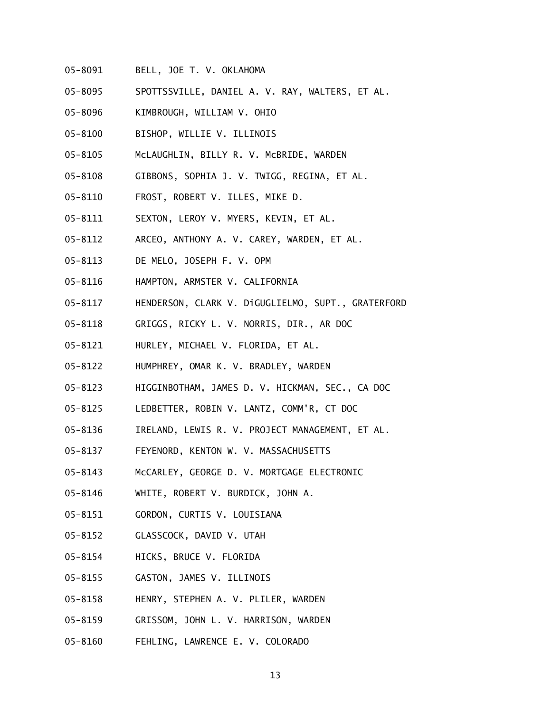- 05-8091 BELL, JOE T. V. OKLAHOMA
- 05-8095 SPOTTSSVILLE, DANIEL A. V. RAY, WALTERS, ET AL.
- 05-8096 KIMBROUGH, WILLIAM V. OHIO
- 05-8100 BISHOP, WILLIE V. ILLINOIS
- 05-8105 McLAUGHLIN, BILLY R. V. McBRIDE, WARDEN
- 05-8108 GIBBONS, SOPHIA J. V. TWIGG, REGINA, ET AL.
- 05-8110 FROST, ROBERT V. ILLES, MIKE D.
- 05-8111 SEXTON, LEROY V. MYERS, KEVIN, ET AL.
- 05-8112 ARCEO, ANTHONY A. V. CAREY, WARDEN, ET AL.
- 05-8113 DE MELO, JOSEPH F. V. OPM
- 05-8116 HAMPTON, ARMSTER V. CALIFORNIA
- 05-8117 HENDERSON, CLARK V. DiGUGLIELMO, SUPT., GRATERFORD
- 05-8118 GRIGGS, RICKY L. V. NORRIS, DIR., AR DOC
- 05-8121 HURLEY, MICHAEL V. FLORIDA, ET AL.
- 05-8122 HUMPHREY, OMAR K. V. BRADLEY, WARDEN
- 05-8123 HIGGINBOTHAM, JAMES D. V. HICKMAN, SEC., CA DOC
- 05-8125 LEDBETTER, ROBIN V. LANTZ, COMM'R, CT DOC
- 05-8136 IRELAND, LEWIS R. V. PROJECT MANAGEMENT, ET AL.
- 05-8137 FEYENORD, KENTON W. V. MASSACHUSETTS
- 05-8143 McCARLEY, GEORGE D. V. MORTGAGE ELECTRONIC
- 05-8146 WHITE, ROBERT V. BURDICK, JOHN A.
- 05-8151 GORDON, CURTIS V. LOUISIANA
- 05-8152 GLASSCOCK, DAVID V. UTAH
- 05-8154 HICKS, BRUCE V. FLORIDA
- 05-8155 GASTON, JAMES V. ILLINOIS
- 05-8158 HENRY, STEPHEN A. V. PLILER, WARDEN
- 05-8159 GRISSOM, JOHN L. V. HARRISON, WARDEN
- 05-8160 FEHLING, LAWRENCE E. V. COLORADO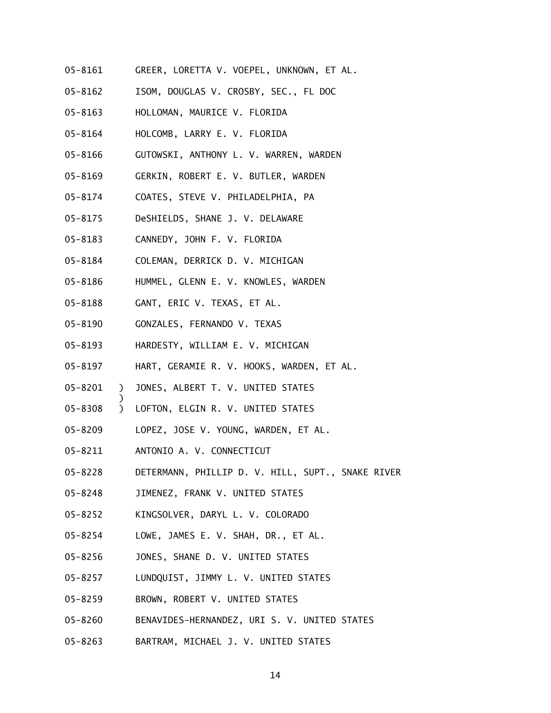- 05-8161 GREER, LORETTA V. VOEPEL, UNKNOWN, ET AL.
- 05-8162 ISOM, DOUGLAS V. CROSBY, SEC., FL DOC
- 05-8163 HOLLOMAN, MAURICE V. FLORIDA
- 05-8164 HOLCOMB, LARRY E. V. FLORIDA
- 05-8166 GUTOWSKI, ANTHONY L. V. WARREN, WARDEN
- 05-8169 GERKIN, ROBERT E. V. BUTLER, WARDEN
- 05-8174 COATES, STEVE V. PHILADELPHIA, PA
- 05-8175 DeSHIELDS, SHANE J. V. DELAWARE
- 05-8183 CANNEDY, JOHN F. V. FLORIDA
- 05-8184 COLEMAN, DERRICK D. V. MICHIGAN
- 05-8186 HUMMEL, GLENN E. V. KNOWLES, WARDEN
- 05-8188 GANT, ERIC V. TEXAS, ET AL.
- 05-8190 GONZALES, FERNANDO V. TEXAS
- 05-8193 HARDESTY, WILLIAM E. V. MICHIGAN
- 05-8197 HART, GERAMIE R. V. HOOKS, WARDEN, ET AL.
- 05-8201 ) JONES, ALBERT T. V. UNITED STATES
- 05-8308 ) LOFTON, ELGIN R. V. UNITED STATES
- 05-8209 LOPEZ, JOSE V. YOUNG, WARDEN, ET AL.
- 05-8211 ANTONIO A. V. CONNECTICUT

- 05-8228 DETERMANN, PHILLIP D. V. HILL, SUPT., SNAKE RIVER
- 05-8248 JIMENEZ, FRANK V. UNITED STATES
- 05-8252 KINGSOLVER, DARYL L. V. COLORADO
- 05-8254 LOWE, JAMES E. V. SHAH, DR., ET AL.
- 05-8256 JONES, SHANE D. V. UNITED STATES
- 05-8257 LUNDQUIST, JIMMY L. V. UNITED STATES
- 05-8259 BROWN, ROBERT V. UNITED STATES
- 05-8260 BENAVIDES-HERNANDEZ, URI S. V. UNITED STATES
- 05-8263 BARTRAM, MICHAEL J. V. UNITED STATES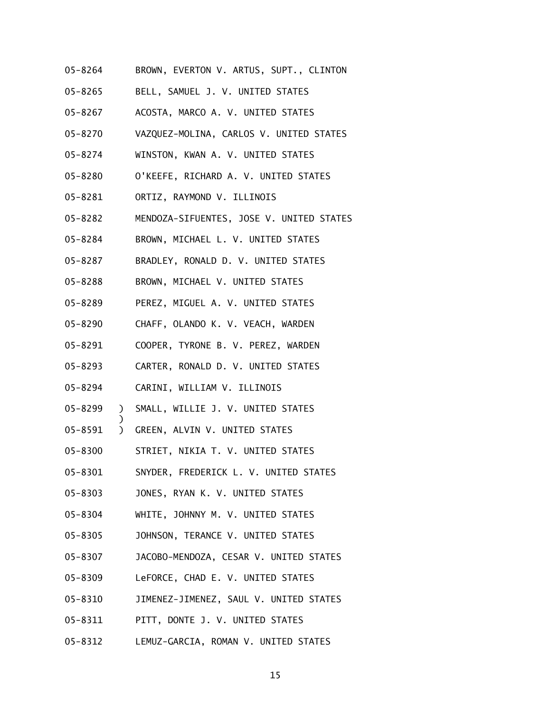- 05-8264 BROWN, EVERTON V. ARTUS, SUPT., CLINTON
- 05-8265 BELL, SAMUEL J. V. UNITED STATES
- 05-8267 ACOSTA, MARCO A. V. UNITED STATES
- 05-8270 VAZQUEZ-MOLINA, CARLOS V. UNITED STATES
- 05-8274 WINSTON, KWAN A. V. UNITED STATES
- 05-8280 O'KEEFE, RICHARD A. V. UNITED STATES
- 05-8281 ORTIZ, RAYMOND V. ILLINOIS
- 05-8282 MENDOZA-SIFUENTES, JOSE V. UNITED STATES
- 05-8284 BROWN, MICHAEL L. V. UNITED STATES
- 05-8287 BRADLEY, RONALD D. V. UNITED STATES
- 05-8288 BROWN, MICHAEL V. UNITED STATES
- 05-8289 PEREZ, MIGUEL A. V. UNITED STATES
- 05-8290 CHAFF, OLANDO K. V. VEACH, WARDEN
- 05-8291 COOPER, TYRONE B. V. PEREZ, WARDEN
- 05-8293 CARTER, RONALD D. V. UNITED STATES
- 05-8294 CARINI, WILLIAM V. ILLINOIS

- 05-8299 ) SMALL, WILLIE J. V. UNITED STATES
- 05-8591 ) GREEN, ALVIN V. UNITED STATES
- 05-8300 STRIET, NIKIA T. V. UNITED STATES
- 05-8301 SNYDER, FREDERICK L. V. UNITED STATES
- 05-8303 JONES, RYAN K. V. UNITED STATES
- 05-8304 WHITE, JOHNNY M. V. UNITED STATES
- 05-8305 JOHNSON, TERANCE V. UNITED STATES
- 05-8307 JACOBO-MENDOZA, CESAR V. UNITED STATES
- 05-8309 LeFORCE, CHAD E. V. UNITED STATES
- 05-8310 JIMENEZ-JIMENEZ, SAUL V. UNITED STATES
- 05-8311 PITT, DONTE J. V. UNITED STATES
- 05-8312 LEMUZ-GARCIA, ROMAN V. UNITED STATES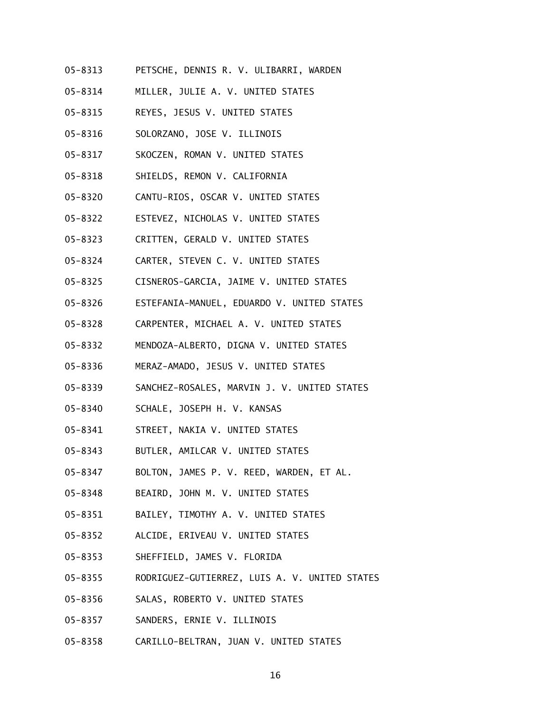- 05-8313 PETSCHE, DENNIS R. V. ULIBARRI, WARDEN
- 05-8314 MILLER, JULIE A. V. UNITED STATES
- 05-8315 REYES, JESUS V. UNITED STATES
- 05-8316 SOLORZANO, JOSE V. ILLINOIS
- 05-8317 SKOCZEN, ROMAN V. UNITED STATES
- 05-8318 SHIELDS, REMON V. CALIFORNIA
- 05-8320 CANTU-RIOS, OSCAR V. UNITED STATES
- 05-8322 ESTEVEZ, NICHOLAS V. UNITED STATES
- 05-8323 CRITTEN, GERALD V. UNITED STATES
- 05-8324 CARTER, STEVEN C. V. UNITED STATES
- 05-8325 CISNEROS-GARCIA, JAIME V. UNITED STATES
- 05-8326 ESTEFANIA-MANUEL, EDUARDO V. UNITED STATES
- 05-8328 CARPENTER, MICHAEL A. V. UNITED STATES
- 05-8332 MENDOZA-ALBERTO, DIGNA V. UNITED STATES
- 05-8336 MERAZ-AMADO, JESUS V. UNITED STATES
- 05-8339 SANCHEZ-ROSALES, MARVIN J. V. UNITED STATES
- 05-8340 SCHALE, JOSEPH H. V. KANSAS
- 05-8341 STREET, NAKIA V. UNITED STATES
- 05-8343 BUTLER, AMILCAR V. UNITED STATES
- 05-8347 BOLTON, JAMES P. V. REED, WARDEN, ET AL.
- 05-8348 BEAIRD, JOHN M. V. UNITED STATES
- 05-8351 BAILEY, TIMOTHY A. V. UNITED STATES
- 05-8352 ALCIDE, ERIVEAU V. UNITED STATES
- 05-8353 SHEFFIELD, JAMES V. FLORIDA
- 05-8355 RODRIGUEZ-GUTIERREZ, LUIS A. V. UNITED STATES
- 05-8356 SALAS, ROBERTO V. UNITED STATES
- 05-8357 SANDERS, ERNIE V. ILLINOIS
- 05-8358 CARILLO-BELTRAN, JUAN V. UNITED STATES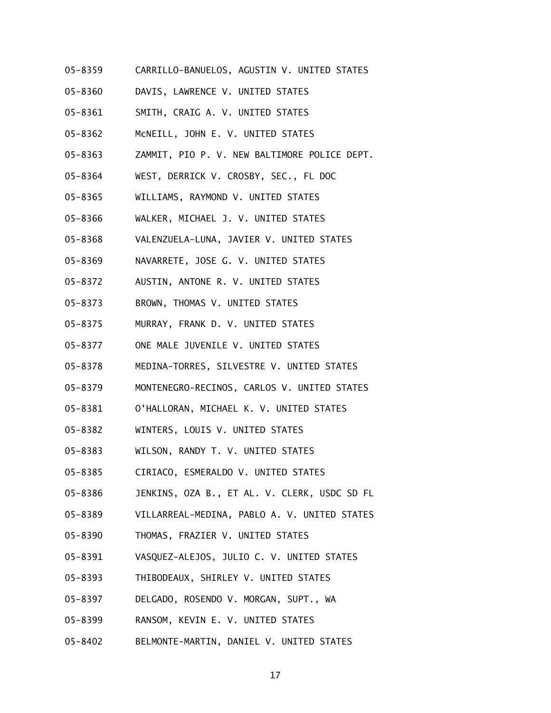- 05-8359 CARRILLO-BANUELOS, AGUSTIN V. UNITED STATES
- 05-8360 DAVIS, LAWRENCE V. UNITED STATES
- 05-8361 SMITH, CRAIG A. V. UNITED STATES
- 05-8362 McNEILL, JOHN E. V. UNITED STATES
- 05-8363 ZAMMIT, PIO P. V. NEW BALTIMORE POLICE DEPT.
- 05-8364 WEST, DERRICK V. CROSBY, SEC., FL DOC
- 05-8365 WILLIAMS, RAYMOND V. UNITED STATES
- 05-8366 WALKER, MICHAEL J. V. UNITED STATES
- 05-8368 VALENZUELA-LUNA, JAVIER V. UNITED STATES
- 05-8369 NAVARRETE, JOSE G. V. UNITED STATES
- 05-8372 AUSTIN, ANTONE R. V. UNITED STATES
- 05-8373 BROWN, THOMAS V. UNITED STATES
- 05-8375 MURRAY, FRANK D. V. UNITED STATES
- 05-8377 ONE MALE JUVENILE V. UNITED STATES
- 05-8378 MEDINA-TORRES, SILVESTRE V. UNITED STATES
- 05-8379 MONTENEGRO-RECINOS, CARLOS V. UNITED STATES
- 05-8381 O'HALLORAN, MICHAEL K. V. UNITED STATES
- 05-8382 WINTERS, LOUIS V. UNITED STATES
- 05-8383 WILSON, RANDY T. V. UNITED STATES
- 05-8385 CIRIACO, ESMERALDO V. UNITED STATES
- 05-8386 JENKINS, OZA B., ET AL. V. CLERK, USDC SD FL
- 05-8389 VILLARREAL-MEDINA, PABLO A. V. UNITED STATES
- 05-8390 THOMAS, FRAZIER V. UNITED STATES
- 05-8391 VASQUEZ-ALEJOS, JULIO C. V. UNITED STATES
- 05-8393 THIBODEAUX, SHIRLEY V. UNITED STATES
- 05-8397 DELGADO, ROSENDO V. MORGAN, SUPT., WA
- 05-8399 RANSOM, KEVIN E. V. UNITED STATES
- 05-8402 BELMONTE-MARTIN, DANIEL V. UNITED STATES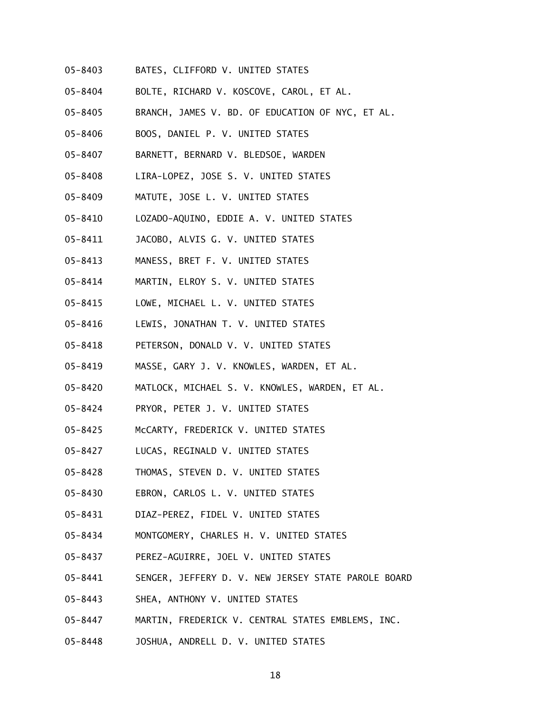- 05-8403 BATES, CLIFFORD V. UNITED STATES
- 05-8404 BOLTE, RICHARD V. KOSCOVE, CAROL, ET AL.
- 05-8405 BRANCH, JAMES V. BD. OF EDUCATION OF NYC, ET AL.
- 05-8406 BOOS, DANIEL P. V. UNITED STATES
- 05-8407 BARNETT, BERNARD V. BLEDSOE, WARDEN
- 05-8408 LIRA-LOPEZ, JOSE S. V. UNITED STATES
- 05-8409 MATUTE, JOSE L. V. UNITED STATES
- 05-8410 LOZADO-AQUINO, EDDIE A. V. UNITED STATES
- 05-8411 JACOBO, ALVIS G. V. UNITED STATES
- 05-8413 MANESS, BRET F. V. UNITED STATES
- 05-8414 MARTIN, ELROY S. V. UNITED STATES
- 05-8415 LOWE, MICHAEL L. V. UNITED STATES
- 05-8416 LEWIS, JONATHAN T. V. UNITED STATES
- 05-8418 PETERSON, DONALD V. V. UNITED STATES
- 05-8419 MASSE, GARY J. V. KNOWLES, WARDEN, ET AL.
- 05-8420 MATLOCK, MICHAEL S. V. KNOWLES, WARDEN, ET AL.
- 05-8424 PRYOR, PETER J. V. UNITED STATES
- 05-8425 McCARTY, FREDERICK V. UNITED STATES
- 05-8427 LUCAS, REGINALD V. UNITED STATES
- 05-8428 THOMAS, STEVEN D. V. UNITED STATES
- 05-8430 EBRON, CARLOS L. V. UNITED STATES
- 05-8431 DIAZ-PEREZ, FIDEL V. UNITED STATES
- 05-8434 MONTGOMERY, CHARLES H. V. UNITED STATES
- 05-8437 PEREZ-AGUIRRE, JOEL V. UNITED STATES
- 05-8441 SENGER, JEFFERY D. V. NEW JERSEY STATE PAROLE BOARD
- 05-8443 SHEA, ANTHONY V. UNITED STATES
- 05-8447 MARTIN, FREDERICK V. CENTRAL STATES EMBLEMS, INC.
- 05-8448 JOSHUA, ANDRELL D. V. UNITED STATES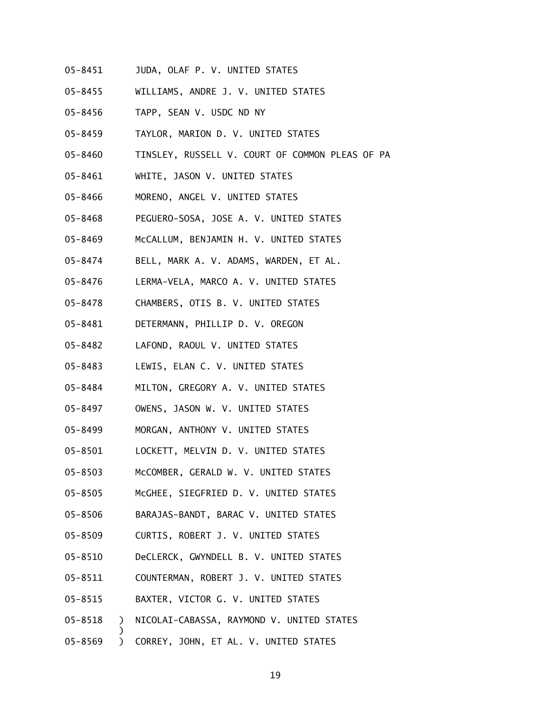- 05-8451 JUDA, OLAF P. V. UNITED STATES
- 05-8455 WILLIAMS, ANDRE J. V. UNITED STATES
- 05-8456 TAPP, SEAN V. USDC ND NY
- 05-8459 TAYLOR, MARION D. V. UNITED STATES
- 05-8460 TINSLEY, RUSSELL V. COURT OF COMMON PLEAS OF PA
- 05-8461 WHITE, JASON V. UNITED STATES
- 05-8466 MORENO, ANGEL V. UNITED STATES
- 05-8468 PEGUERO-SOSA, JOSE A. V. UNITED STATES
- 05-8469 McCALLUM, BENJAMIN H. V. UNITED STATES
- 05-8474 BELL, MARK A. V. ADAMS, WARDEN, ET AL.
- 05-8476 LERMA-VELA, MARCO A. V. UNITED STATES
- 05-8478 CHAMBERS, OTIS B. V. UNITED STATES
- 05-8481 DETERMANN, PHILLIP D. V. OREGON
- 05-8482 LAFOND, RAOUL V. UNITED STATES
- 05-8483 LEWIS, ELAN C. V. UNITED STATES
- 05-8484 MILTON, GREGORY A. V. UNITED STATES
- 05-8497 OWENS, JASON W. V. UNITED STATES
- 05-8499 MORGAN, ANTHONY V. UNITED STATES
- 05-8501 LOCKETT, MELVIN D. V. UNITED STATES
- 05-8503 McCOMBER, GERALD W. V. UNITED STATES
- 05-8505 McGHEE, SIEGFRIED D. V. UNITED STATES
- 05-8506 BARAJAS-BANDT, BARAC V. UNITED STATES
- 05-8509 CURTIS, ROBERT J. V. UNITED STATES
- 05-8510 DeCLERCK, GWYNDELL B. V. UNITED STATES
- 05-8511 COUNTERMAN, ROBERT J. V. UNITED STATES
- 05-8515 BAXTER, VICTOR G. V. UNITED STATES

- 05-8518 ) NICOLAI-CABASSA, RAYMOND V. UNITED STATES
- 05-8569 ) CORREY, JOHN, ET AL. V. UNITED STATES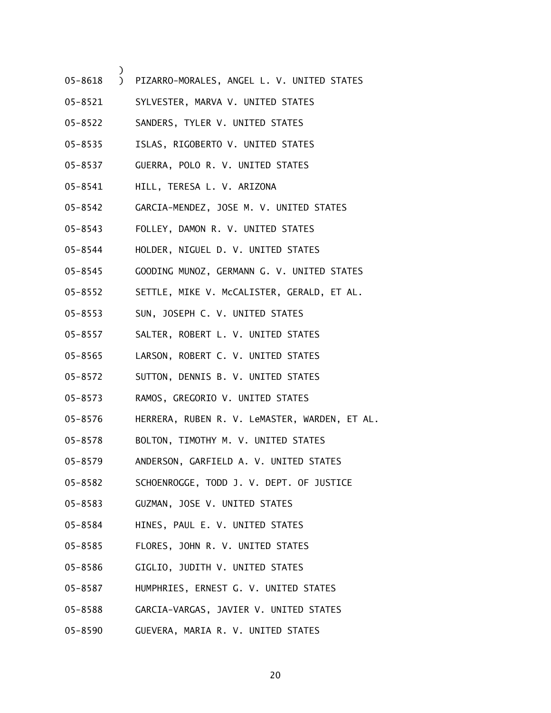- 05-8618 ) PIZARRO-MORALES, ANGEL L. V. UNITED STATES
- 05-8521 SYLVESTER, MARVA V. UNITED STATES
- 05-8522 SANDERS, TYLER V. UNITED STATES
- 05-8535 ISLAS, RIGOBERTO V. UNITED STATES
- 05-8537 GUERRA, POLO R. V. UNITED STATES
- 05-8541 HILL, TERESA L. V. ARIZONA

- 05-8542 GARCIA-MENDEZ, JOSE M. V. UNITED STATES
- 05-8543 FOLLEY, DAMON R. V. UNITED STATES
- 05-8544 HOLDER, NIGUEL D. V. UNITED STATES
- 05-8545 GOODING MUNOZ, GERMANN G. V. UNITED STATES
- 05-8552 SETTLE, MIKE V. McCALISTER, GERALD, ET AL.
- 05-8553 SUN, JOSEPH C. V. UNITED STATES
- 05-8557 SALTER, ROBERT L. V. UNITED STATES
- 05-8565 LARSON, ROBERT C. V. UNITED STATES
- 05-8572 SUTTON, DENNIS B. V. UNITED STATES
- 05-8573 RAMOS, GREGORIO V. UNITED STATES
- 05-8576 HERRERA, RUBEN R. V. LeMASTER, WARDEN, ET AL.
- 05-8578 BOLTON, TIMOTHY M. V. UNITED STATES
- 05-8579 ANDERSON, GARFIELD A. V. UNITED STATES
- 05-8582 SCHOENROGGE, TODD J. V. DEPT. OF JUSTICE
- 05-8583 GUZMAN, JOSE V. UNITED STATES
- 05-8584 HINES, PAUL E. V. UNITED STATES
- 05-8585 FLORES, JOHN R. V. UNITED STATES
- 05-8586 GIGLIO, JUDITH V. UNITED STATES
- 05-8587 HUMPHRIES, ERNEST G. V. UNITED STATES
- 05-8588 GARCIA-VARGAS, JAVIER V. UNITED STATES
- 05-8590 GUEVERA, MARIA R. V. UNITED STATES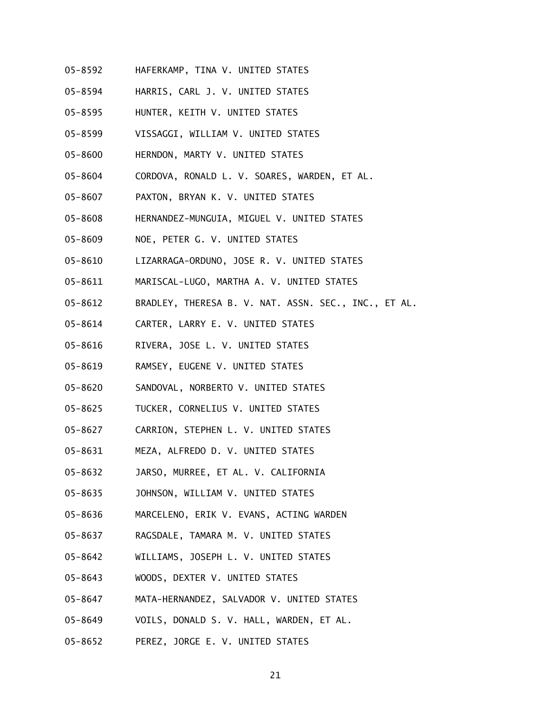- 05-8592 HAFERKAMP, TINA V. UNITED STATES
- 05-8594 HARRIS, CARL J. V. UNITED STATES
- 05-8595 HUNTER, KEITH V. UNITED STATES
- 05-8599 VISSAGGI, WILLIAM V. UNITED STATES
- 05-8600 HERNDON, MARTY V. UNITED STATES
- 05-8604 CORDOVA, RONALD L. V. SOARES, WARDEN, ET AL.
- 05-8607 PAXTON, BRYAN K. V. UNITED STATES
- 05-8608 HERNANDEZ-MUNGUIA, MIGUEL V. UNITED STATES
- 05-8609 NOE, PETER G. V. UNITED STATES
- 05-8610 LIZARRAGA-ORDUNO, JOSE R. V. UNITED STATES
- 05-8611 MARISCAL-LUGO, MARTHA A. V. UNITED STATES
- 05-8612 BRADLEY, THERESA B. V. NAT. ASSN. SEC., INC., ET AL.
- 05-8614 CARTER, LARRY E. V. UNITED STATES
- 05-8616 RIVERA, JOSE L. V. UNITED STATES
- 05-8619 RAMSEY, EUGENE V. UNITED STATES
- 05-8620 SANDOVAL, NORBERTO V. UNITED STATES
- 05-8625 TUCKER, CORNELIUS V. UNITED STATES
- 05-8627 CARRION, STEPHEN L. V. UNITED STATES
- 05-8631 MEZA, ALFREDO D. V. UNITED STATES
- 05-8632 JARSO, MURREE, ET AL. V. CALIFORNIA
- 05-8635 JOHNSON, WILLIAM V. UNITED STATES
- 05-8636 MARCELENO, ERIK V. EVANS, ACTING WARDEN
- 05-8637 RAGSDALE, TAMARA M. V. UNITED STATES
- 05-8642 WILLIAMS, JOSEPH L. V. UNITED STATES
- 05-8643 WOODS, DEXTER V. UNITED STATES
- 05-8647 MATA-HERNANDEZ, SALVADOR V. UNITED STATES
- 05-8649 VOILS, DONALD S. V. HALL, WARDEN, ET AL.
- 05-8652 PEREZ, JORGE E. V. UNITED STATES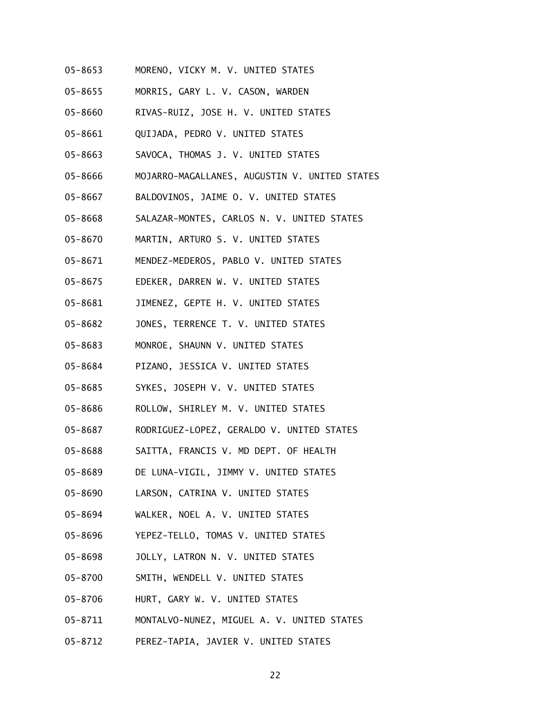- 05-8653 MORENO, VICKY M. V. UNITED STATES
- 05-8655 MORRIS, GARY L. V. CASON, WARDEN
- 05-8660 RIVAS-RUIZ, JOSE H. V. UNITED STATES
- 05-8661 QUIJADA, PEDRO V. UNITED STATES
- 05-8663 SAVOCA, THOMAS J. V. UNITED STATES
- 05-8666 MOJARRO-MAGALLANES, AUGUSTIN V. UNITED STATES
- 05-8667 BALDOVINOS, JAIME O. V. UNITED STATES
- 05-8668 SALAZAR-MONTES, CARLOS N. V. UNITED STATES
- 05-8670 MARTIN, ARTURO S. V. UNITED STATES
- 05-8671 MENDEZ-MEDEROS, PABLO V. UNITED STATES
- 05-8675 EDEKER, DARREN W. V. UNITED STATES
- 05-8681 JIMENEZ, GEPTE H. V. UNITED STATES
- 05-8682 JONES, TERRENCE T. V. UNITED STATES
- 05-8683 MONROE, SHAUNN V. UNITED STATES
- 05-8684 PIZANO, JESSICA V. UNITED STATES
- 05-8685 SYKES, JOSEPH V. V. UNITED STATES
- 05-8686 ROLLOW, SHIRLEY M. V. UNITED STATES
- 05-8687 RODRIGUEZ-LOPEZ, GERALDO V. UNITED STATES
- 05-8688 SAITTA, FRANCIS V. MD DEPT. OF HEALTH
- 05-8689 DE LUNA-VIGIL, JIMMY V. UNITED STATES
- 05-8690 LARSON, CATRINA V. UNITED STATES
- 05-8694 WALKER, NOEL A. V. UNITED STATES
- 05-8696 YEPEZ-TELLO, TOMAS V. UNITED STATES
- 05-8698 JOLLY, LATRON N. V. UNITED STATES
- 05-8700 SMITH, WENDELL V. UNITED STATES
- 05-8706 HURT, GARY W. V. UNITED STATES
- 05-8711 MONTALVO-NUNEZ, MIGUEL A. V. UNITED STATES
- 05-8712 PEREZ-TAPIA, JAVIER V. UNITED STATES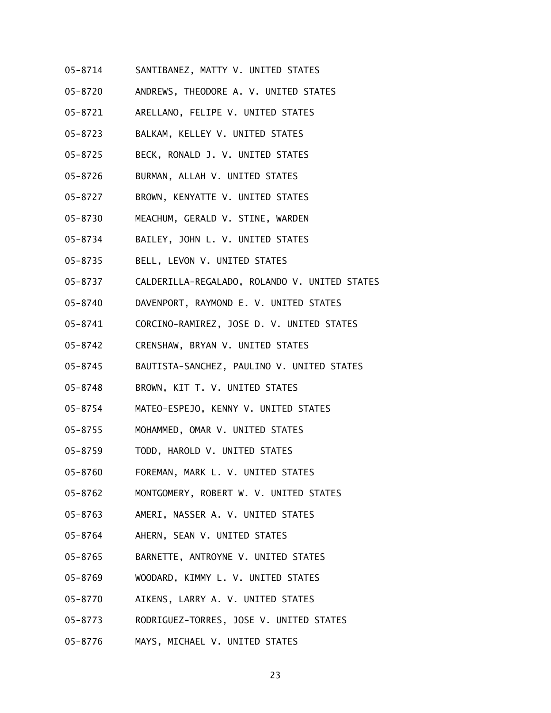- 05-8714 SANTIBANEZ, MATTY V. UNITED STATES
- 05-8720 ANDREWS, THEODORE A. V. UNITED STATES
- 05-8721 ARELLANO, FELIPE V. UNITED STATES
- 05-8723 BALKAM, KELLEY V. UNITED STATES
- 05-8725 BECK, RONALD J. V. UNITED STATES
- 05-8726 BURMAN, ALLAH V. UNITED STATES
- 05-8727 BROWN, KENYATTE V. UNITED STATES
- 05-8730 MEACHUM, GERALD V. STINE, WARDEN
- 05-8734 BAILEY, JOHN L. V. UNITED STATES
- 05-8735 BELL, LEVON V. UNITED STATES
- 05-8737 CALDERILLA-REGALADO, ROLANDO V. UNITED STATES
- 05-8740 DAVENPORT, RAYMOND E. V. UNITED STATES
- 05-8741 CORCINO-RAMIREZ, JOSE D. V. UNITED STATES
- 05-8742 CRENSHAW, BRYAN V. UNITED STATES
- 05-8745 BAUTISTA-SANCHEZ, PAULINO V. UNITED STATES
- 05-8748 BROWN, KIT T. V. UNITED STATES
- 05-8754 MATEO-ESPEJO, KENNY V. UNITED STATES
- 05-8755 MOHAMMED, OMAR V. UNITED STATES
- 05-8759 TODD, HAROLD V. UNITED STATES
- 05-8760 FOREMAN, MARK L. V. UNITED STATES
- 05-8762 MONTGOMERY, ROBERT W. V. UNITED STATES
- 05-8763 AMERI, NASSER A. V. UNITED STATES
- 05-8764 AHERN, SEAN V. UNITED STATES
- 05-8765 BARNETTE, ANTROYNE V. UNITED STATES
- 05-8769 WOODARD, KIMMY L. V. UNITED STATES
- 05-8770 AIKENS, LARRY A. V. UNITED STATES
- 05-8773 RODRIGUEZ-TORRES, JOSE V. UNITED STATES
- 05-8776 MAYS, MICHAEL V. UNITED STATES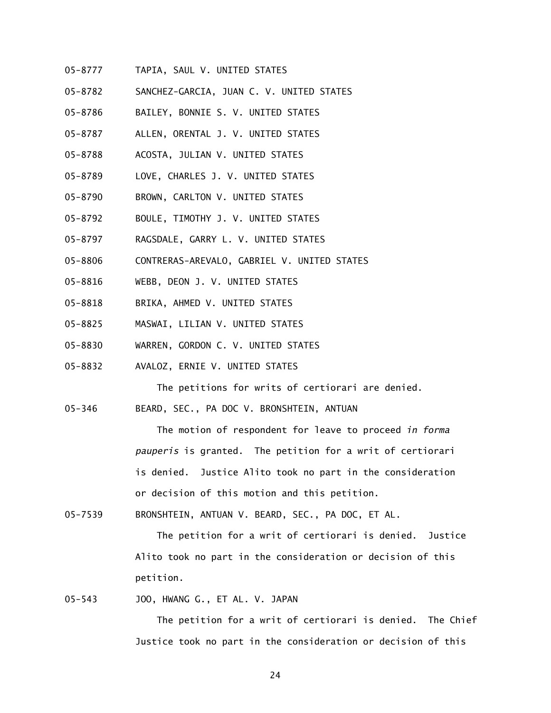- 05-8777 TAPIA, SAUL V. UNITED STATES
- 05-8782 SANCHEZ-GARCIA, JUAN C. V. UNITED STATES
- 05-8786 BAILEY, BONNIE S. V. UNITED STATES
- 05-8787 ALLEN, ORENTAL J. V. UNITED STATES
- 05-8788 ACOSTA, JULIAN V. UNITED STATES
- 05-8789 LOVE, CHARLES J. V. UNITED STATES
- 05-8790 BROWN, CARLTON V. UNITED STATES
- 05-8792 BOULE, TIMOTHY J. V. UNITED STATES
- 05-8797 RAGSDALE, GARRY L. V. UNITED STATES
- 05-8806 CONTRERAS-AREVALO, GABRIEL V. UNITED STATES
- 05-8816 WEBB, DEON J. V. UNITED STATES
- 05-8818 BRIKA, AHMED V. UNITED STATES
- 05-8825 MASWAI, LILIAN V. UNITED STATES
- 05-8830 WARREN, GORDON C. V. UNITED STATES
- 05-8832 AVALOZ, ERNIE V. UNITED STATES

The petitions for writs of certiorari are denied.

05-346 BEARD, SEC., PA DOC V. BRONSHTEIN, ANTUAN

> The motion of respondent for leave to proceed *in forma pauperis* is granted. The petition for a writ of certiorari is denied. Justice Alito took no part in the consideration or decision of this motion and this petition.

05-7539 BRONSHTEIN, ANTUAN V. BEARD, SEC., PA DOC, ET AL.

> The petition for a writ of certiorari is denied. Justice Alito took no part in the consideration or decision of this petition.

#### 05-543 JOO, HWANG G., ET AL. V. JAPAN

 The petition for a writ of certiorari is denied. The Chief Justice took no part in the consideration or decision of this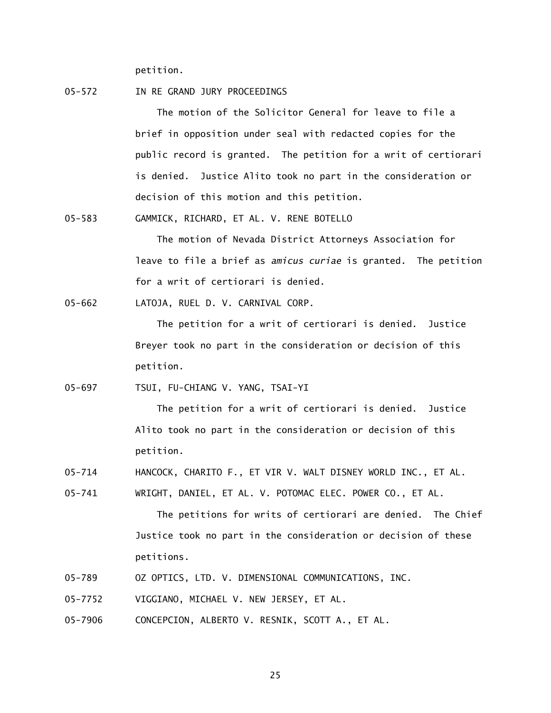petition.

05-572 IN RE GRAND JURY PROCEEDINGS

The motion of the Solicitor General for leave to file a brief in opposition under seal with redacted copies for the public record is granted. The petition for a writ of certiorari is denied. Justice Alito took no part in the consideration or decision of this motion and this petition.

05-583 GAMMICK, RICHARD, ET AL. V. RENE BOTELLO

 The motion of Nevada District Attorneys Association for leave to file a brief as *amicus curiae* is granted. The petition for a writ of certiorari is denied.

05-662 LATOJA, RUEL D. V. CARNIVAL CORP.

 The petition for a writ of certiorari is denied. Justice Breyer took no part in the consideration or decision of this petition.

05-697 TSUI, FU-CHIANG V. YANG, TSAI-YI

 The petition for a writ of certiorari is denied. Justice Alito took no part in the consideration or decision of this petition.

05-714 HANCOCK, CHARITO F., ET VIR V. WALT DISNEY WORLD INC., ET AL.

05-741 WRIGHT, DANIEL, ET AL. V. POTOMAC ELEC. POWER CO., ET AL.

 The petitions for writs of certiorari are denied. The Chief Justice took no part in the consideration or decision of these petitions.

- 05-789 OZ OPTICS, LTD. V. DIMENSIONAL COMMUNICATIONS, INC.
- 05-7752 VIGGIANO, MICHAEL V. NEW JERSEY, ET AL.
- 05-7906 CONCEPCION, ALBERTO V. RESNIK, SCOTT A., ET AL.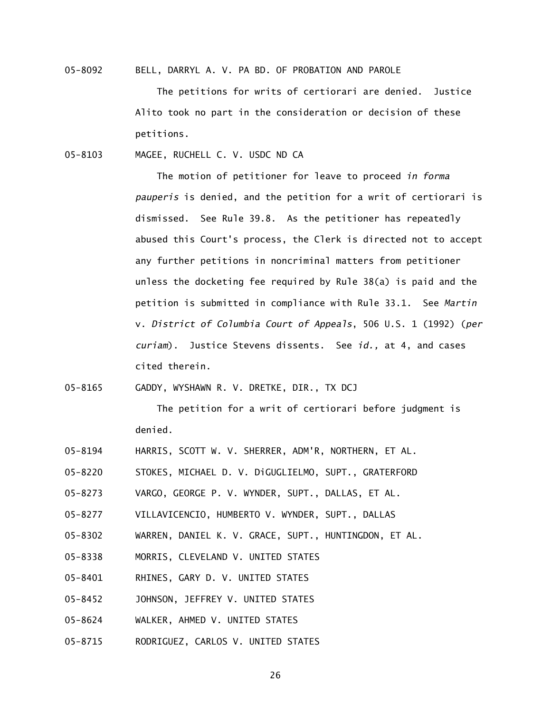05-8092 BELL, DARRYL A. V. PA BD. OF PROBATION AND PAROLE

 The petitions for writs of certiorari are denied. Justice Alito took no part in the consideration or decision of these petitions.

05-8103 MAGEE, RUCHELL C. V. USDC ND CA

> The motion of petitioner for leave to proceed *in forma pauperis* is denied, and the petition for a writ of certiorari is dismissed. See Rule 39.8. As the petitioner has repeatedly abused this Court's process, the Clerk is directed not to accept any further petitions in noncriminal matters from petitioner unless the docketing fee required by Rule 38(a) is paid and the petition is submitted in compliance with Rule 33.1. See *Martin*  v. *District of Columbia Court of Appeals*, 506 U.S. 1 (1992) (*per curiam*). Justice Stevens dissents. See *id.,* at 4, and cases cited therein.

05-8165 GADDY, WYSHAWN R. V. DRETKE, DIR., TX DCJ

 The petition for a writ of certiorari before judgment is denied.

- 05-8194 HARRIS, SCOTT W. V. SHERRER, ADM'R, NORTHERN, ET AL.
- 05-8220 STOKES, MICHAEL D. V. DiGUGLIELMO, SUPT., GRATERFORD
- 05-8273 VARGO, GEORGE P. V. WYNDER, SUPT., DALLAS, ET AL.
- 05-8277 VILLAVICENCIO, HUMBERTO V. WYNDER, SUPT., DALLAS
- 05-8302 WARREN, DANIEL K. V. GRACE, SUPT., HUNTINGDON, ET AL.
- 05-8338 MORRIS, CLEVELAND V. UNITED STATES
- 05-8401 RHINES, GARY D. V. UNITED STATES
- 05-8452 JOHNSON, JEFFREY V. UNITED STATES
- 05-8624 WALKER, AHMED V. UNITED STATES
- 05-8715 RODRIGUEZ, CARLOS V. UNITED STATES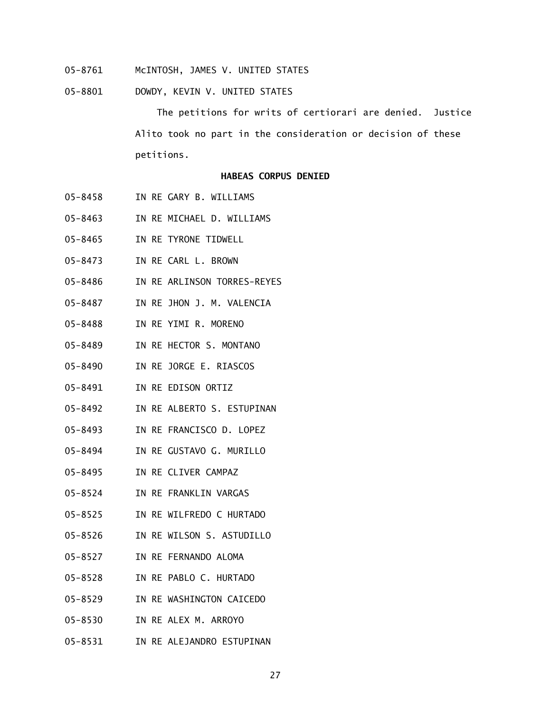- 05-8761 McINTOSH, JAMES V. UNITED STATES
- 05-8801 DOWDY, KEVIN V. UNITED STATES

 The petitions for writs of certiorari are denied. Justice Alito took no part in the consideration or decision of these petitions.

### **HABEAS CORPUS DENIED**

- 05-8458 IN RE GARY B. WILLIAMS
- 05-8463 IN RE MICHAEL D. WILLIAMS
- 05-8465 IN RE TYRONE TIDWELL
- 05-8473 IN RE CARL L. BROWN
- 05-8486 IN RE ARLINSON TORRES-REYES
- 05-8487 IN RE JHON J. M. VALENCIA
- 05-8488 IN RE YIMI R. MORENO
- 05-8489 IN RE HECTOR S. MONTANO
- 05-8490 IN RE JORGE E. RIASCOS
- 05-8491 IN RE EDISON ORTIZ
- 05-8492 IN RE ALBERTO S. ESTUPINAN
- 05-8493 IN RE FRANCISCO D. LOPEZ
- 05-8494 IN RE GUSTAVO G. MURILLO
- 05-8495 IN RE CLIVER CAMPAZ
- 05-8524 IN RE FRANKLIN VARGAS
- 05-8525 IN RE WILFREDO C HURTADO
- 05-8526 IN RE WILSON S. ASTUDILLO
- 05-8527 IN RE FERNANDO ALOMA
- 05-8528 IN RE PABLO C. HURTADO
- 05-8529 IN RE WASHINGTON CAICEDO
- 05-8530 IN RE ALEX M. ARROYO
- 05-8531 IN RE ALEJANDRO ESTUPINAN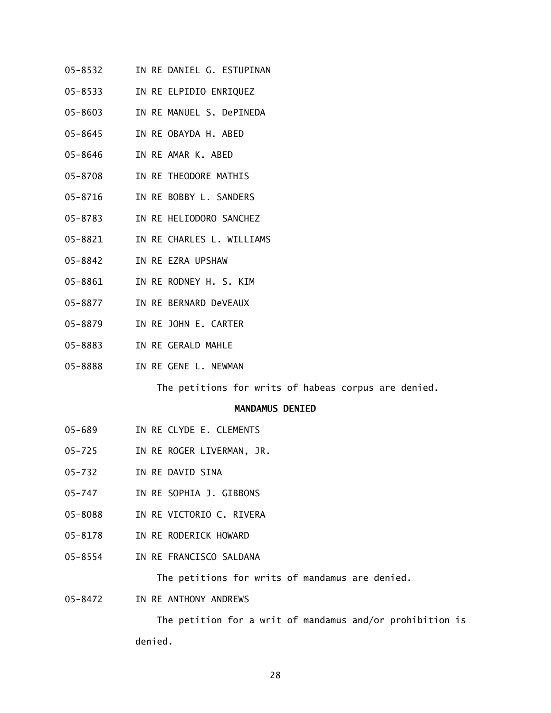- 05-8532 IN RE DANIEL G. ESTUPINAN
- 05-8533 IN RE ELPIDIO ENRIQUEZ
- 05-8603 IN RE MANUEL S. DePINEDA
- 05-8645 IN RE OBAYDA H. ABED
- 05-8646 IN RE AMAR K. ABED
- 05-8708 IN RE THEODORE MATHIS
- 05-8716 IN RE BOBBY L. SANDERS
- 05-8783 IN RE HELIODORO SANCHEZ
- 05-8821 IN RE CHARLES L. WILLIAMS
- 05-8842 IN RE EZRA UPSHAW
- 05-8861 IN RE RODNEY H. S. KIM
- 05-8877 IN RE BERNARD DeVEAUX
- 05-8879 IN RE JOHN E. CARTER
- 05-8883 IN RE GERALD MAHLE
- 05-8888 IN RE GENE L. NEWMAN

The petitions for writs of habeas corpus are denied.

### **MANDAMUS DENIED**

- 05-689 IN RE CLYDE E. CLEMENTS
- 05-725 IN RE ROGER LIVERMAN, JR.
- 05-732 IN RE DAVID SINA
- 05-747 IN RE SOPHIA J. GIBBONS
- 05-8088 IN RE VICTORIO C. RIVERA
- 05-8178 IN RE RODERICK HOWARD
- 05-8554 IN RE FRANCISCO SALDANA

The petitions for writs of mandamus are denied.

05-8472 IN RE ANTHONY ANDREWS

 The petition for a writ of mandamus and/or prohibition is denied.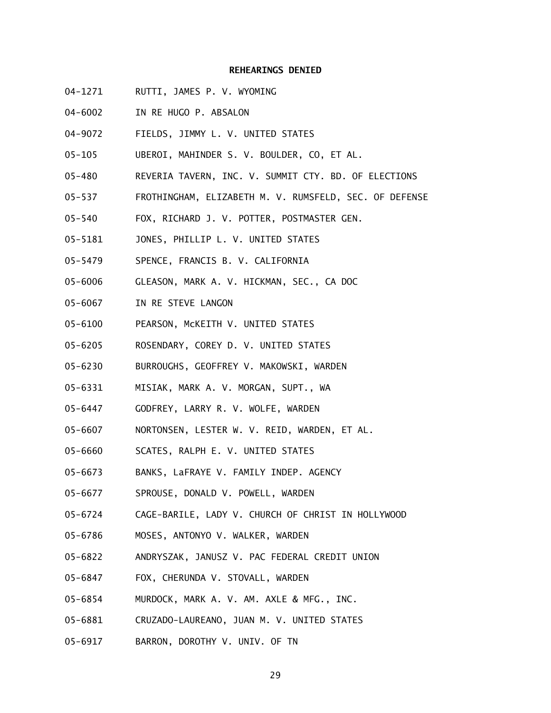### **REHEARINGS DENIED**

- 04-1271 RUTTI, JAMES P. V. WYOMING
- 04-6002 IN RE HUGO P. ABSALON
- 04-9072 FIELDS, JIMMY L. V. UNITED STATES
- 05-105 UBEROI, MAHINDER S. V. BOULDER, CO, ET AL.
- 05-480 REVERIA TAVERN, INC. V. SUMMIT CTY. BD. OF ELECTIONS
- 05-537 FROTHINGHAM, ELIZABETH M. V. RUMSFELD, SEC. OF DEFENSE
- 05-540 FOX, RICHARD J. V. POTTER, POSTMASTER GEN.
- 05-5181 JONES, PHILLIP L. V. UNITED STATES
- 05-5479 SPENCE, FRANCIS B. V. CALIFORNIA
- 05-6006 GLEASON, MARK A. V. HICKMAN, SEC., CA DOC
- 05-6067 IN RE STEVE LANGON
- 05-6100 PEARSON, McKEITH V. UNITED STATES
- 05-6205 ROSENDARY, COREY D. V. UNITED STATES
- 05-6230 BURROUGHS, GEOFFREY V. MAKOWSKI, WARDEN
- 05-6331 MISIAK, MARK A. V. MORGAN, SUPT., WA
- 05-6447 GODFREY, LARRY R. V. WOLFE, WARDEN
- 05-6607 NORTONSEN, LESTER W. V. REID, WARDEN, ET AL.
- 05-6660 SCATES, RALPH E. V. UNITED STATES
- 05-6673 BANKS, LaFRAYE V. FAMILY INDEP. AGENCY
- 05-6677 SPROUSE, DONALD V. POWELL, WARDEN
- 05-6724 CAGE-BARILE, LADY V. CHURCH OF CHRIST IN HOLLYWOOD
- 05-6786 MOSES, ANTONYO V. WALKER, WARDEN
- 05-6822 ANDRYSZAK, JANUSZ V. PAC FEDERAL CREDIT UNION
- 05-6847 FOX, CHERUNDA V. STOVALL, WARDEN
- 05-6854 MURDOCK, MARK A. V. AM. AXLE & MFG., INC.
- 05-6881 CRUZADO-LAUREANO, JUAN M. V. UNITED STATES
- 05-6917 BARRON, DOROTHY V. UNIV. OF TN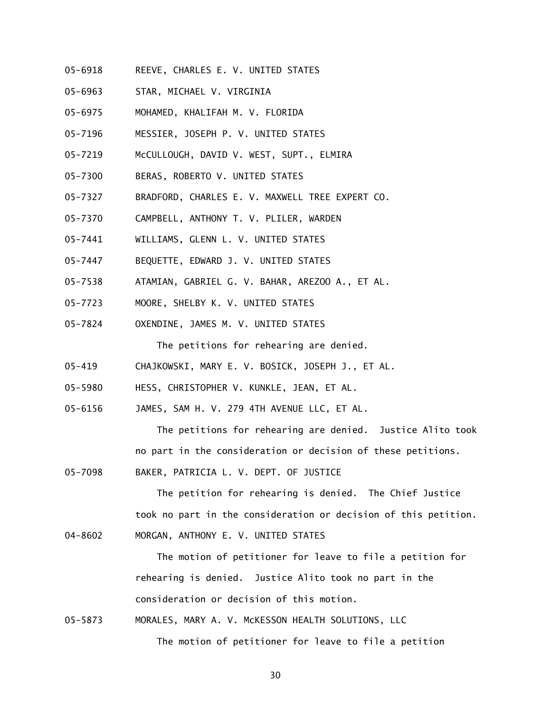- 05-6918 REEVE, CHARLES E. V. UNITED STATES
- 05-6963 STAR, MICHAEL V. VIRGINIA
- 05-6975 MOHAMED, KHALIFAH M. V. FLORIDA
- 05-7196 MESSIER, JOSEPH P. V. UNITED STATES
- 05-7219 McCULLOUGH, DAVID V. WEST, SUPT., ELMIRA
- 05-7300 BERAS, ROBERTO V. UNITED STATES
- 05-7327 BRADFORD, CHARLES E. V. MAXWELL TREE EXPERT CO.
- 05-7370 CAMPBELL, ANTHONY T. V. PLILER, WARDEN
- 05-7441 WILLIAMS, GLENN L. V. UNITED STATES
- 05-7447 BEQUETTE, EDWARD J. V. UNITED STATES
- 05-7538 ATAMIAN, GABRIEL G. V. BAHAR, AREZOO A., ET AL.
- 05-7723 MOORE, SHELBY K. V. UNITED STATES
- 05-7824 OXENDINE, JAMES M. V. UNITED STATES

The petitions for rehearing are denied.

- 05-419 CHAJKOWSKI, MARY E. V. BOSICK, JOSEPH J., ET AL.
- 05-5980 HESS, CHRISTOPHER V. KUNKLE, JEAN, ET AL.
- 05-6156 JAMES, SAM H. V. 279 4TH AVENUE LLC, ET AL.

 The petitions for rehearing are denied. Justice Alito took no part in the consideration or decision of these petitions.

05-7098 BAKER, PATRICIA L. V. DEPT. OF JUSTICE

> The petition for rehearing is denied. The Chief Justice took no part in the consideration or decision of this petition.

04-8602 MORGAN, ANTHONY E. V. UNITED STATES

> The motion of petitioner for leave to file a petition for rehearing is denied. Justice Alito took no part in the consideration or decision of this motion.

05-5873 MORALES, MARY A. V. McKESSON HEALTH SOLUTIONS, LLC The motion of petitioner for leave to file a petition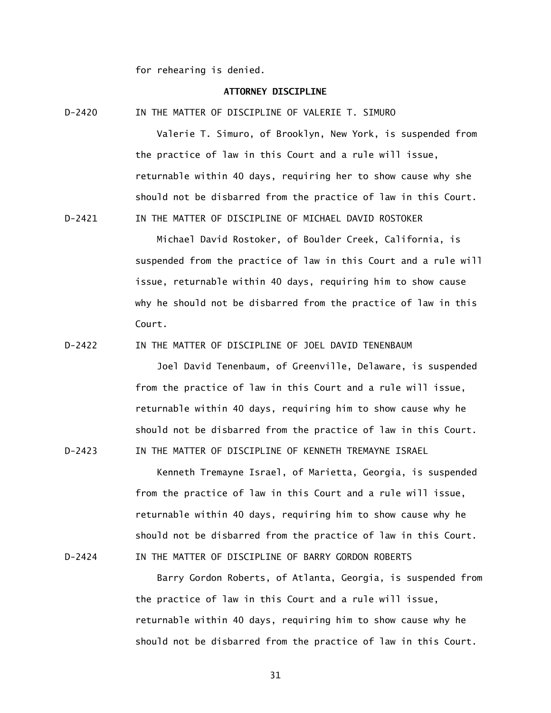for rehearing is denied.

## **ATTORNEY DISCIPLINE**

D-2420 IN THE MATTER OF DISCIPLINE OF VALERIE T. SIMURO

 Valerie T. Simuro, of Brooklyn, New York, is suspended from the practice of law in this Court and a rule will issue, returnable within 40 days, requiring her to show cause why she should not be disbarred from the practice of law in this Court. D-2421 IN THE MATTER OF DISCIPLINE OF MICHAEL DAVID ROSTOKER

> Michael David Rostoker, of Boulder Creek, California, is suspended from the practice of law in this Court and a rule will issue, returnable within 40 days, requiring him to show cause why he should not be disbarred from the practice of law in this Court.

D-2422 IN THE MATTER OF DISCIPLINE OF JOEL DAVID TENENBAUM

 Joel David Tenenbaum, of Greenville, Delaware, is suspended from the practice of law in this Court and a rule will issue, returnable within 40 days, requiring him to show cause why he should not be disbarred from the practice of law in this Court. D-2423 IN THE MATTER OF DISCIPLINE OF KENNETH TREMAYNE ISRAEL

 Kenneth Tremayne Israel, of Marietta, Georgia, is suspended from the practice of law in this Court and a rule will issue, returnable within 40 days, requiring him to show cause why he should not be disbarred from the practice of law in this Court. D-2424 IN THE MATTER OF DISCIPLINE OF BARRY GORDON ROBERTS

> Barry Gordon Roberts, of Atlanta, Georgia, is suspended from the practice of law in this Court and a rule will issue, returnable within 40 days, requiring him to show cause why he should not be disbarred from the practice of law in this Court.